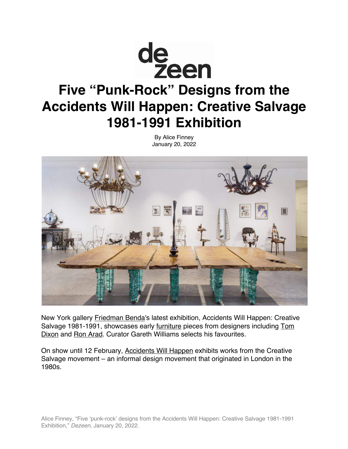

# **Five "Punk-Rock" Designs from the Accidents Will Happen: Creative Salvage 1981-1991 Exhibition**

By Alice Finney January 20, 2022



New York gallery Friedman Benda's latest exhibition, Accidents Will Happen: Creative Salvage 1981-1991, showcases early furniture pieces from designers including Tom Dixon and Ron Arad. Curator Gareth Williams selects his favourites.

On show until 12 February, Accidents Will Happen exhibits works from the Creative Salvage movement – an informal design movement that originated in London in the 1980s.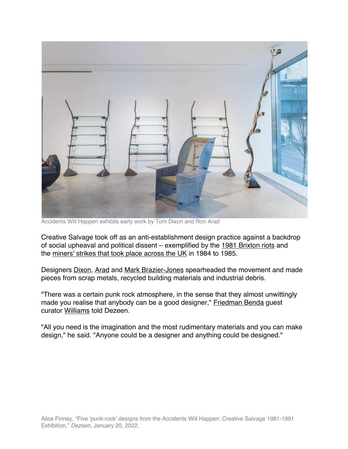

Accidents Will Happen exhibits early work by Tom Dixon and Ron Arad

Creative Salvage took off as an anti-establishment design practice against a backdrop of social upheaval and political dissent – exemplified by the 1981 Brixton riots and the miners' strikes that took place across the UK in 1984 to 1985.

Designers Dixon, Arad and Mark Brazier-Jones spearheaded the movement and made pieces from scrap metals, recycled building materials and industrial debris.

"There was a certain punk rock atmosphere, in the sense that they almost unwittingly made you realise that anybody can be a good designer," Friedman Benda guest curator Williams told Dezeen.

"All you need is the imagination and the most rudimentary materials and you can make design," he said. "Anyone could be a designer and anything could be designed."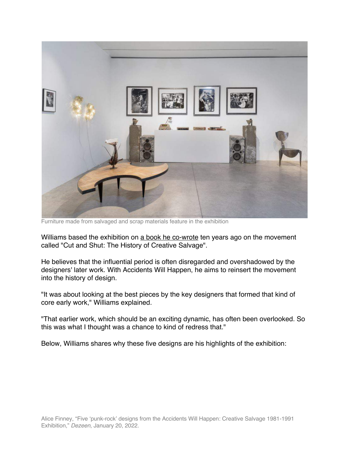

Furniture made from salvaged and scrap materials feature in the exhibition

Williams based the exhibition on a book he co-wrote ten years ago on the movement called "Cut and Shut: The History of Creative Salvage".

He believes that the influential period is often disregarded and overshadowed by the designers' later work. With Accidents Will Happen, he aims to reinsert the movement into the history of design.

"It was about looking at the best pieces by the key designers that formed that kind of core early work," Williams explained.

"That earlier work, which should be an exciting dynamic, has often been overlooked. So this was what I thought was a chance to kind of redress that."

Below, Williams shares why these five designs are his highlights of the exhibition: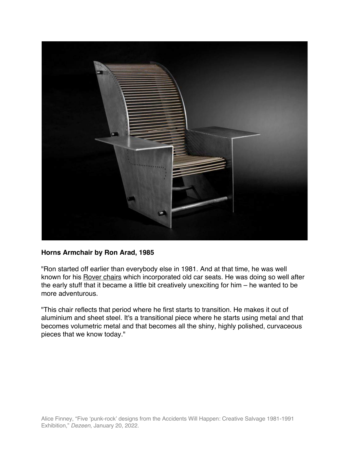

## **Horns Armchair by Ron Arad, 1985**

"Ron started off earlier than everybody else in 1981. And at that time, he was well known for his **Rover chairs** which incorporated old car seats. He was doing so well after the early stuff that it became a little bit creatively unexciting for him – he wanted to be more adventurous.

"This chair reflects that period where he first starts to transition. He makes it out of aluminium and sheet steel. It's a transitional piece where he starts using metal and that becomes volumetric metal and that becomes all the shiny, highly polished, curvaceous pieces that we know today."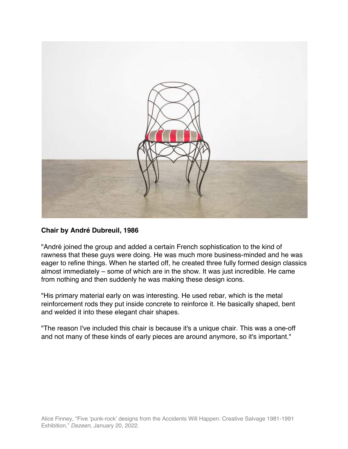

## **Chair by André Dubreuil, 1986**

"André joined the group and added a certain French sophistication to the kind of rawness that these guys were doing. He was much more business-minded and he was eager to refine things. When he started off, he created three fully formed design classics almost immediately – some of which are in the show. It was just incredible. He came from nothing and then suddenly he was making these design icons.

"His primary material early on was interesting. He used rebar, which is the metal reinforcement rods they put inside concrete to reinforce it. He basically shaped, bent and welded it into these elegant chair shapes.

"The reason I've included this chair is because it's a unique chair. This was a one-off and not many of these kinds of early pieces are around anymore, so it's important."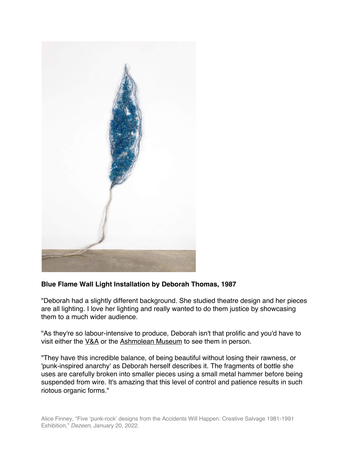

# **Blue Flame Wall Light Installation by Deborah Thomas, 1987**

"Deborah had a slightly different background. She studied theatre design and her pieces are all lighting. I love her lighting and really wanted to do them justice by showcasing them to a much wider audience.

"As they're so labour-intensive to produce, Deborah isn't that prolific and you'd have to visit either the V&A or the Ashmolean Museum to see them in person.

"They have this incredible balance, of being beautiful without losing their rawness, or 'punk-inspired anarchy' as Deborah herself describes it. The fragments of bottle she uses are carefully broken into smaller pieces using a small metal hammer before being suspended from wire. It's amazing that this level of control and patience results in such riotous organic forms."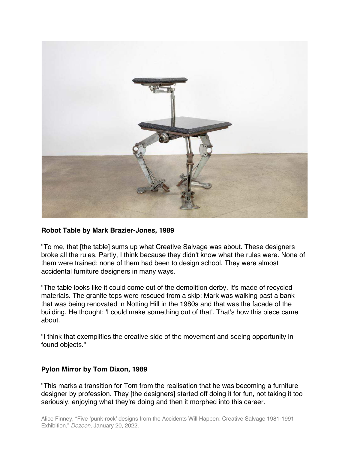

### **Robot Table by Mark Brazier-Jones, 1989**

"To me, that [the table] sums up what Creative Salvage was about. These designers broke all the rules. Partly, I think because they didn't know what the rules were. None of them were trained: none of them had been to design school. They were almost accidental furniture designers in many ways.

"The table looks like it could come out of the demolition derby. It's made of recycled materials. The granite tops were rescued from a skip: Mark was walking past a bank that was being renovated in Notting Hill in the 1980s and that was the facade of the building. He thought: 'I could make something out of that'. That's how this piece came about.

"I think that exemplifies the creative side of the movement and seeing opportunity in found objects."

### **Pylon Mirror by Tom Dixon, 1989**

"This marks a transition for Tom from the realisation that he was becoming a furniture designer by profession. They [the designers] started off doing it for fun, not taking it too seriously, enjoying what they're doing and then it morphed into this career.